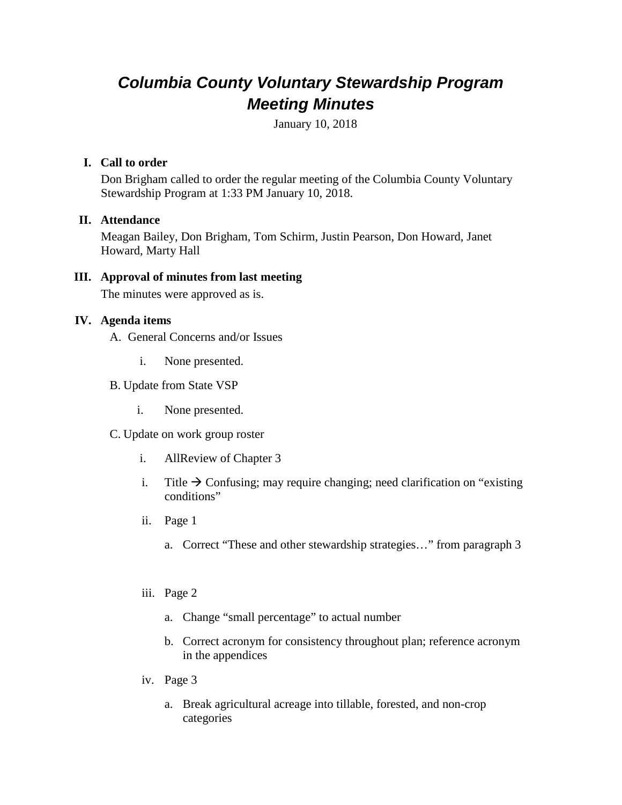# *Columbia County Voluntary Stewardship Program Meeting Minutes*

January 10, 2018

#### **I. Call to order**

Don Brigham called to order the regular meeting of the Columbia County Voluntary Stewardship Program at 1:33 PM January 10, 2018.

## **II. Attendance**

Meagan Bailey, Don Brigham, Tom Schirm, Justin Pearson, Don Howard, Janet Howard, Marty Hall

## **III. Approval of minutes from last meeting**

The minutes were approved as is.

## **IV. Agenda items**

- A. General Concerns and/or Issues
	- i. None presented.
- B. Update from State VSP
	- i. None presented.
- C. Update on work group roster
	- i. AllReview of Chapter 3
	- i. Title  $\rightarrow$  Confusing; may require changing; need clarification on "existing" conditions"
	- ii. Page 1
		- a. Correct "These and other stewardship strategies…" from paragraph 3
	- iii. Page 2
		- a. Change "small percentage" to actual number
		- b. Correct acronym for consistency throughout plan; reference acronym in the appendices
	- iv. Page 3
		- a. Break agricultural acreage into tillable, forested, and non-crop categories